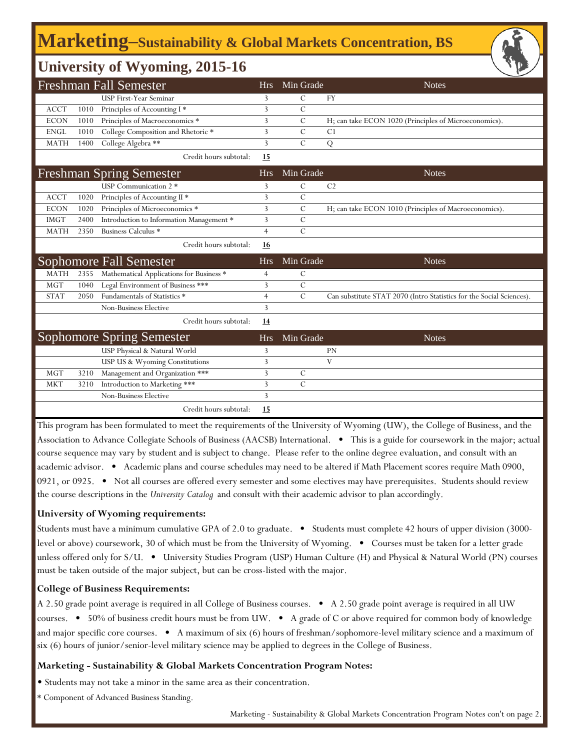# **Marketing‒Sustainability & Global Markets Concentration, BS**

## **University of Wyoming, 2015-16**

|             |      | <b>Freshman Fall Semester</b>             | Hrs            | Min Grade      | <b>Notes</b>                                                         |
|-------------|------|-------------------------------------------|----------------|----------------|----------------------------------------------------------------------|
|             |      | <b>USP First-Year Seminar</b>             | 3              | С              | <b>FY</b>                                                            |
| <b>ACCT</b> | 1010 | Principles of Accounting I*               | 3              | $\mathcal{C}$  |                                                                      |
| <b>ECON</b> | 1010 | Principles of Macroeconomics *            | 3              | $\mathcal{C}$  | H; can take ECON 1020 (Principles of Microeconomics).                |
| <b>ENGL</b> | 1010 | College Composition and Rhetoric *        | 3              | $\mathcal{C}$  | C <sub>1</sub>                                                       |
| <b>MATH</b> | 1400 | College Algebra **                        | 3              | $\overline{C}$ | Q                                                                    |
|             |      | Credit hours subtotal:                    | 15             |                |                                                                      |
|             |      | <b>Freshman Spring Semester</b>           | <b>Hrs</b>     | Min Grade      | <b>Notes</b>                                                         |
|             |      | USP Communication 2 *                     | 3              | $\mathcal{C}$  | C <sub>2</sub>                                                       |
| <b>ACCT</b> | 1020 | Principles of Accounting II <sup>*</sup>  | 3              | $\mathcal{C}$  |                                                                      |
| <b>ECON</b> | 1020 | Principles of Microeconomics <sup>*</sup> | 3              | $\mathcal{C}$  | H; can take ECON 1010 (Principles of Macroeconomics).                |
| <b>IMGT</b> | 2400 | Introduction to Information Management *  | 3              | $\mathcal{C}$  |                                                                      |
| <b>MATH</b> | 2350 | Business Calculus *                       | $\overline{4}$ | $\mathcal{C}$  |                                                                      |
|             |      | Credit hours subtotal:                    | <u>16</u>      |                |                                                                      |
|             |      | Sophomore Fall Semester                   | <b>Hrs</b>     | Min Grade      | <b>Notes</b>                                                         |
| <b>MATH</b> | 2355 | Mathematical Applications for Business *  | 4              | С              |                                                                      |
| <b>MGT</b>  | 1040 | Legal Environment of Business ***         | 3              | $\mathcal{C}$  |                                                                      |
| <b>STAT</b> | 2050 | Fundamentals of Statistics *              | $\overline{4}$ | $\mathcal{C}$  | Can substitute STAT 2070 (Intro Statistics for the Social Sciences). |
|             |      | <b>Non-Business Elective</b>              | 3              |                |                                                                      |
|             |      | Credit hours subtotal:                    | <u>14</u>      |                |                                                                      |
|             |      | <b>Sophomore Spring Semester</b>          | <b>Hrs</b>     | Min Grade      | <b>Notes</b>                                                         |
|             |      | USP Physical & Natural World              | 3              |                | PN                                                                   |
|             |      | USP US & Wyoming Constitutions            | 3              |                | V                                                                    |
| <b>MGT</b>  | 3210 | Management and Organization ***           | 3              | С              |                                                                      |
| <b>MKT</b>  | 3210 | Introduction to Marketing ***             | 3              | $\mathcal{C}$  |                                                                      |
|             |      | Non-Business Elective                     | 3              |                |                                                                      |
|             |      | Credit hours subtotal:                    | 15             |                |                                                                      |

This program has been formulated to meet the requirements of the University of Wyoming (UW), the College of Business, and the Association to Advance Collegiate Schools of Business (AACSB) International. • This is a guide for coursework in the major; actual course sequence may vary by student and is subject to change. Please refer to the online degree evaluation, and consult with an academic advisor. • Academic plans and course schedules may need to be altered if Math Placement scores require Math 0900, 0921, or 0925. • Not all courses are offered every semester and some electives may have prerequisites. Students should review the course descriptions in the *University Catalog* and consult with their academic advisor to plan accordingly.

#### **University of Wyoming requirements:**

Students must have a minimum cumulative GPA of 2.0 to graduate. • Students must complete 42 hours of upper division (3000 level or above) coursework, 30 of which must be from the University of Wyoming. • Courses must be taken for a letter grade unless offered only for S/U. • University Studies Program (USP) Human Culture (H) and Physical & Natural World (PN) courses must be taken outside of the major subject, but can be cross-listed with the major.

#### **College of Business Requirements:**

A 2.50 grade point average is required in all College of Business courses. • A 2.50 grade point average is required in all UW courses. • 50% of business credit hours must be from UW. • A grade of C or above required for common body of knowledge and major specific core courses. • A maximum of six (6) hours of freshman/sophomore-level military science and a maximum of six (6) hours of junior/senior-level military science may be applied to degrees in the College of Business.

### **Marketing - Sustainability & Global Markets Concentration Program Notes:**

• Students may not take a minor in the same area as their concentration.

\* Component of Advanced Business Standing.